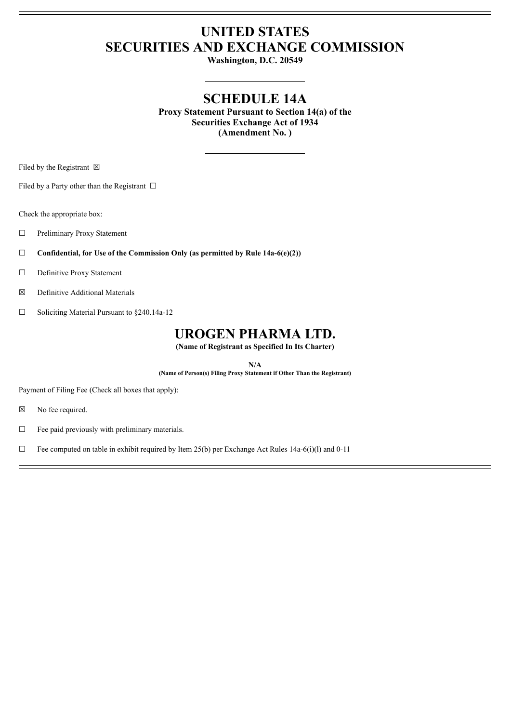# **UNITED STATES SECURITIES AND EXCHANGE COMMISSION**

**Washington, D.C. 20549**

# **SCHEDULE 14A**

**Proxy Statement Pursuant to Section 14(a) of the Securities Exchange Act of 1934 (Amendment No. )**

Filed by the Registrant  $\boxtimes$ 

Filed by a Party other than the Registrant  $\Box$ 

Check the appropriate box:

☐ Preliminary Proxy Statement

☐ **Confidential, for Use of the Commission Only (as permitted by Rule 14a-6(e)(2))**

☐ Definitive Proxy Statement

☒ Definitive Additional Materials

☐ Soliciting Material Pursuant to §240.14a-12

# **UROGEN PHARMA LTD.**

**(Name of Registrant as Specified In Its Charter)**

**N/A**

**(Name of Person(s) Filing Proxy Statement if Other Than the Registrant)**

Payment of Filing Fee (Check all boxes that apply):

☒ No fee required.

 $\Box$  Fee paid previously with preliminary materials.

□ Fee computed on table in exhibit required by Item 25(b) per Exchange Act Rules 14a-6(i)(l) and 0-11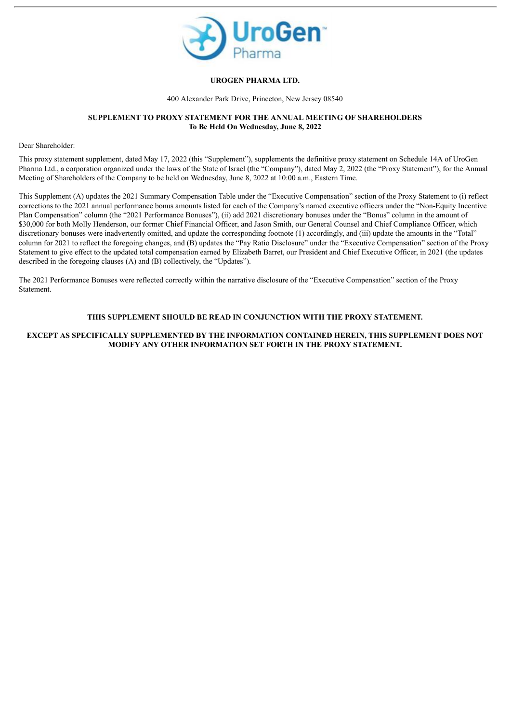

#### **UROGEN PHARMA LTD.**

400 Alexander Park Drive, Princeton, New Jersey 08540

#### **SUPPLEMENT TO PROXY STATEMENT FOR THE ANNUAL MEETING OF SHAREHOLDERS To Be Held On Wednesday, June 8, 2022**

Dear Shareholder:

This proxy statement supplement, dated May 17, 2022 (this "Supplement"), supplements the definitive proxy statement on Schedule 14A of UroGen Pharma Ltd., a corporation organized under the laws of the State of Israel (the "Company"), dated May 2, 2022 (the "Proxy Statement"), for the Annual Meeting of Shareholders of the Company to be held on Wednesday, June 8, 2022 at 10:00 a.m., Eastern Time.

This Supplement (A) updates the 2021 Summary Compensation Table under the "Executive Compensation" section of the Proxy Statement to (i) reflect corrections to the 2021 annual performance bonus amounts listed for each of the Company's named executive officers under the "Non-Equity Incentive Plan Compensation" column (the "2021 Performance Bonuses"), (ii) add 2021 discretionary bonuses under the "Bonus" column in the amount of \$30,000 for both Molly Henderson, our former Chief Financial Officer, and Jason Smith, our General Counsel and Chief Compliance Officer, which discretionary bonuses were inadvertently omitted, and update the corresponding footnote (1) accordingly, and (iii) update the amounts in the "Total" column for 2021 to reflect the foregoing changes, and (B) updates the "Pay Ratio Disclosure" under the "Executive Compensation" section of the Proxy Statement to give effect to the updated total compensation earned by Elizabeth Barret, our President and Chief Executive Officer, in 2021 (the updates described in the foregoing clauses (A) and (B) collectively, the "Updates").

The 2021 Performance Bonuses were reflected correctly within the narrative disclosure of the "Executive Compensation" section of the Proxy Statement.

### **THIS SUPPLEMENT SHOULD BE READ IN CONJUNCTION WITH THE PROXY STATEMENT.**

### **EXCEPT AS SPECIFICALLY SUPPLEMENTED BY THE INFORMATION CONTAINED HEREIN, THIS SUPPLEMENT DOES NOT MODIFY ANY OTHER INFORMATION SET FORTH IN THE PROXY STATEMENT.**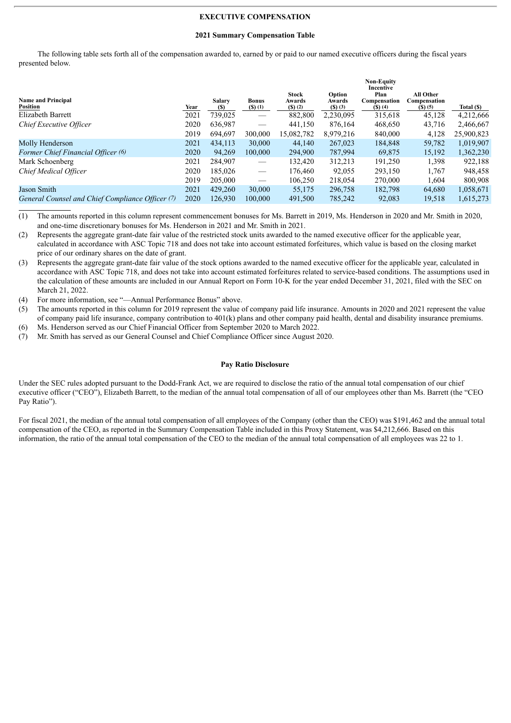#### **EXECUTIVE COMPENSATION**

#### **2021 Summary Compensation Table**

The following table sets forth all of the compensation awarded to, earned by or paid to our named executive officers during the fiscal years presented below.

| <b>Name and Principal</b><br><b>Position</b><br>Elizabeth Barrett | Year<br>2021 | <b>Salary</b><br>(S)<br>739,025 | <b>Bonus</b><br>$($ \$) $(1)$ | <b>Stock</b><br>Awards<br>$(S)$ (2)<br>882,800 | Option<br>Awards<br>$($ S $)$ $($ 3 $)$<br>2,230,095 | <b>Non-Equity</b><br>Incentive<br>Plan<br>Compensation<br>$($ S $)$ $(4)$<br>315,618 | All Other<br>Compensation<br>$(S)$ (5)<br>45,128 | Total (\$)<br>4,212,666 |
|-------------------------------------------------------------------|--------------|---------------------------------|-------------------------------|------------------------------------------------|------------------------------------------------------|--------------------------------------------------------------------------------------|--------------------------------------------------|-------------------------|
| Chief Executive Officer                                           | 2020         | 636,987                         |                               | 441,150                                        | 876.164                                              | 468,650                                                                              | 43,716                                           | 2,466,667               |
|                                                                   | 2019         | 694.697                         | 300,000                       | 15,082,782                                     | 8,979,216                                            | 840,000                                                                              | 4,128                                            | 25,900,823              |
| Molly Henderson                                                   | 2021         | 434,113                         | 30,000                        | 44.140                                         | 267,023                                              | 184,848                                                                              | 59,782                                           | 1,019,907               |
| Former Chief Financial Officer (6)                                | 2020         | 94,269                          | 100,000                       | 294,900                                        | 787,994                                              | 69,875                                                                               | 15,192                                           | 1,362,230               |
| Mark Schoenberg                                                   | 2021         | 284.907                         | $\overbrace{\hspace{15em}}$   | 132.420                                        | 312,213                                              | 191,250                                                                              | 1,398                                            | 922,188                 |
| Chief Medical Officer                                             | 2020         | 185.026                         | $\hspace{0.05cm}$             | 176,460                                        | 92,055                                               | 293,150                                                                              | 1,767                                            | 948,458                 |
|                                                                   | 2019         | 205,000                         |                               | 106,250                                        | 218,054                                              | 270,000                                                                              | 1,604                                            | 800,908                 |
| Jason Smith                                                       | 2021         | 429,260                         | 30,000                        | 55,175                                         | 296,758                                              | 182,798                                                                              | 64,680                                           | 1,058,671               |
| General Counsel and Chief Compliance Officer (7)                  | 2020         | 126,930                         | 100,000                       | 491,500                                        | 785,242                                              | 92,083                                                                               | 19,518                                           | 1,615,273               |

(1) The amounts reported in this column represent commencement bonuses for Ms. Barrett in 2019, Ms. Henderson in 2020 and Mr. Smith in 2020, and one-time discretionary bonuses for Ms. Henderson in 2021 and Mr. Smith in 2021.

(2) Represents the aggregate grant-date fair value of the restricted stock units awarded to the named executive officer for the applicable year, calculated in accordance with ASC Topic 718 and does not take into account estimated forfeitures, which value is based on the closing market price of our ordinary shares on the date of grant.

- (3) Represents the aggregate grant-date fair value of the stock options awarded to the named executive officer for the applicable year, calculated in accordance with ASC Topic 718, and does not take into account estimated forfeitures related to service-based conditions. The assumptions used in the calculation of these amounts are included in our Annual Report on Form 10-K for the year ended December 31, 2021, filed with the SEC on March 21, 2022.
- (4) For more information, see "—Annual Performance Bonus" above.
- (5) The amounts reported in this column for 2019 represent the value of company paid life insurance. Amounts in 2020 and 2021 represent the value of company paid life insurance, company contribution to 401(k) plans and other company paid health, dental and disability insurance premiums. (6) Ms. Henderson served as our Chief Financial Officer from September 2020 to March 2022.
- (7) Mr. Smith has served as our General Counsel and Chief Compliance Officer since August 2020.

#### **Pay Ratio Disclosure**

Under the SEC rules adopted pursuant to the Dodd-Frank Act, we are required to disclose the ratio of the annual total compensation of our chief executive officer ("CEO"), Elizabeth Barrett, to the median of the annual total compensation of all of our employees other than Ms. Barrett (the "CEO Pay Ratio").

For fiscal 2021, the median of the annual total compensation of all employees of the Company (other than the CEO) was \$191,462 and the annual total compensation of the CEO, as reported in the Summary Compensation Table included in this Proxy Statement, was \$4,212,666. Based on this information, the ratio of the annual total compensation of the CEO to the median of the annual total compensation of all employees was 22 to 1.